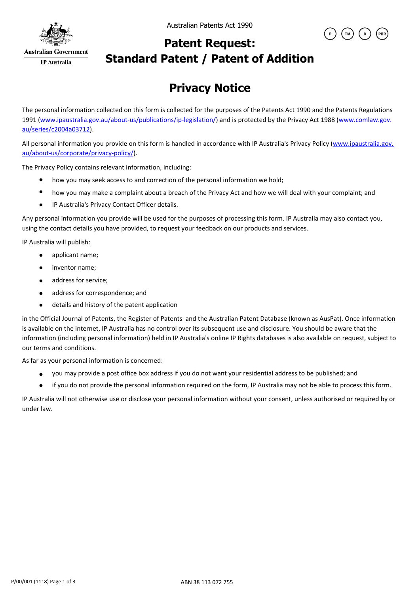

Australian Patents Act 1990



## **Patent Request: Standard Patent / Patent of Addition**

# **Privacy Notice**

The personal information collected on this form is collected for the purposes of the Patents Act 1990 and the Patents Regulations 1991 (www.ipaustralia.gov.au/about-us/publications/ip-legislation/) and is protected by the Privacy Act 1988 (www.comlaw.gov. au/series/c2004a03712).

All personal information you provide on this form is handled in accordance with IP Australia's Privacy Policy (www.ipaustralia.gov. au/about-us/corporate/privacy-policy/).

The Privacy Policy contains relevant information, including:

- $\bullet$ how you may seek access to and correction of the personal information we hold;
- how you may make a complaint about a breach of the Privacy Act and how we will deal with your complaint; and
- IP Australia's Privacy Contact Officer details.  $\bullet$

Any personal information you provide will be used for the purposes of processing this form. IP Australia may also contact you, using the contact details you have provided, to request your feedback on our products and services.

IP Australia will publish:

- $\bullet$ applicant name;
- inventor name;  $\bullet$
- address for service;  $\bullet$
- address for correspondence; and  $\bullet$
- details and history of the patent application  $\bullet$

in the Official Journal of Patents, the Register of Patents and the Australian Patent Database (known as AusPat). Once information is available on the internet, IP Australia has no control over its subsequent use and disclosure. You should be aware that the information (including personal information) held in IP Australia's online IP Rights databases is also available on request, subject to our terms and conditions.

As far as your personal information is concerned:

- you may provide a post office box address if you do not want your residential address to be published; and
- if you do not provide the personal information required on the form, IP Australia may not be able to process this form.  $\bullet$

IP Australia will not otherwise use or disclose your personal information without your consent, unless authorised or required by or under law.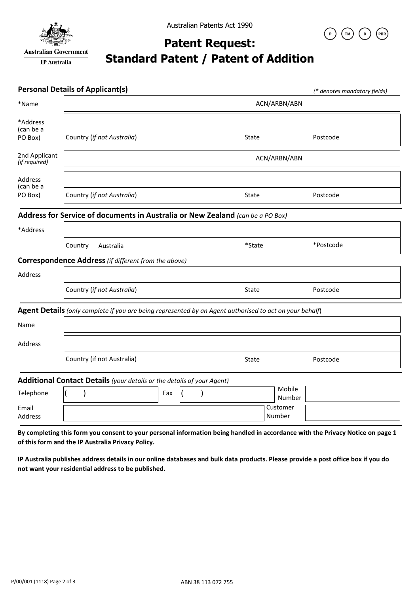

**IP** Australia



### **Patent Request: Standard Patent / Patent of Addition**

|                                | <b>Personal Details of Applicant(s)</b>                                                                 |     |  |  |  |              |                    |                  | (* denotes mandatory fields) |  |
|--------------------------------|---------------------------------------------------------------------------------------------------------|-----|--|--|--|--------------|--------------------|------------------|------------------------------|--|
| *Name                          | ACN/ARBN/ABN                                                                                            |     |  |  |  |              |                    |                  |                              |  |
| *Address<br>(can be a          |                                                                                                         |     |  |  |  |              |                    |                  |                              |  |
| PO Box)                        | Country (if not Australia)                                                                              |     |  |  |  | <b>State</b> |                    |                  | Postcode                     |  |
| 2nd Applicant<br>(if required) | ACN/ARBN/ABN                                                                                            |     |  |  |  |              |                    |                  |                              |  |
| Address<br>(can be a           |                                                                                                         |     |  |  |  |              |                    |                  |                              |  |
| PO Box)                        | Country (if not Australia)                                                                              |     |  |  |  | State        |                    |                  | Postcode                     |  |
|                                | Address for Service of documents in Australia or New Zealand (can be a PO Box)                          |     |  |  |  |              |                    |                  |                              |  |
| *Address                       |                                                                                                         |     |  |  |  |              |                    |                  |                              |  |
|                                | Country<br>Australia                                                                                    |     |  |  |  | *State       |                    |                  | *Postcode                    |  |
|                                | <b>Correspondence Address</b> (if different from the above)                                             |     |  |  |  |              |                    |                  |                              |  |
| Address                        |                                                                                                         |     |  |  |  |              |                    |                  |                              |  |
|                                | Country (if not Australia)                                                                              |     |  |  |  | State        |                    |                  | Postcode                     |  |
|                                | Agent Details (only complete if you are being represented by an Agent authorised to act on your behalf) |     |  |  |  |              |                    |                  |                              |  |
| Name                           |                                                                                                         |     |  |  |  |              |                    |                  |                              |  |
| Address                        |                                                                                                         |     |  |  |  |              |                    |                  |                              |  |
|                                | Country (if not Australia)                                                                              |     |  |  |  | State        |                    |                  | Postcode                     |  |
|                                | Additional Contact Details (your details or the details of your Agent)                                  |     |  |  |  |              |                    |                  |                              |  |
| Telephone                      |                                                                                                         | Fax |  |  |  |              |                    | Mobile<br>Number |                              |  |
| Email<br>Address               |                                                                                                         |     |  |  |  |              | Customer<br>Number |                  |                              |  |

**By completing this form you consent to your personal information being handled in accordance with the Privacy Notice on page 1 of this form and the IP Australia Privacy Policy.** 

**IP Australia publishes address details in our online databases and bulk data products. Please provide a post office box if you do not want your residential address to be published.**